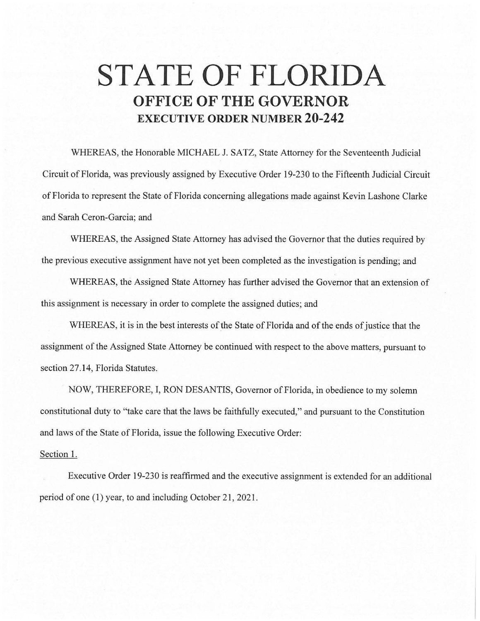## **STATE OF FLORIDA OFFICE OF THE GOVERNOR EXECUTIVE ORDER NUMBER 20-242**

WHEREAS, the Honorable MICHAEL J. SATZ, State Attorney for the Seventeenth Judicial Circuit of Florida, was previously assigned by Executive Order 19-230 to the Fifteenth Judicial Circuit of Florida to represent the State of Florida concerning allegations made against Kevin Lashone Clarke and Sarah Ceron-Garcia; and

WHEREAS, the Assigned State Attorney has advised the Governor that the duties required by the previous executive assignment have not yet been completed as the investigation is pending; and

WHEREAS, the Assigned State Attorney has further advised the Governor that an extension of this assignment is necessary in order to complete the assigned duties; and

WHEREAS, it is in the best interests of the State of Florida and of the ends of justice that the assignment of the Assigned State Attorney be continued with respect to the above matters, pursuant to section 27.14, Florida Statutes.

NOW, THEREFORE, I, RON DESANTIS, Governor of Florida, in obedience to my solemn constitutional duty to "take care that the laws be faithfully executed," and pursuant to the Constitution and laws of the State of Florida, issue the following Executive Order:

## Section 1.

Executive Order 19-230 is reaffirmed and the executive assignment is extended for an additional period of one (1) year, to and including October 21, 2021.